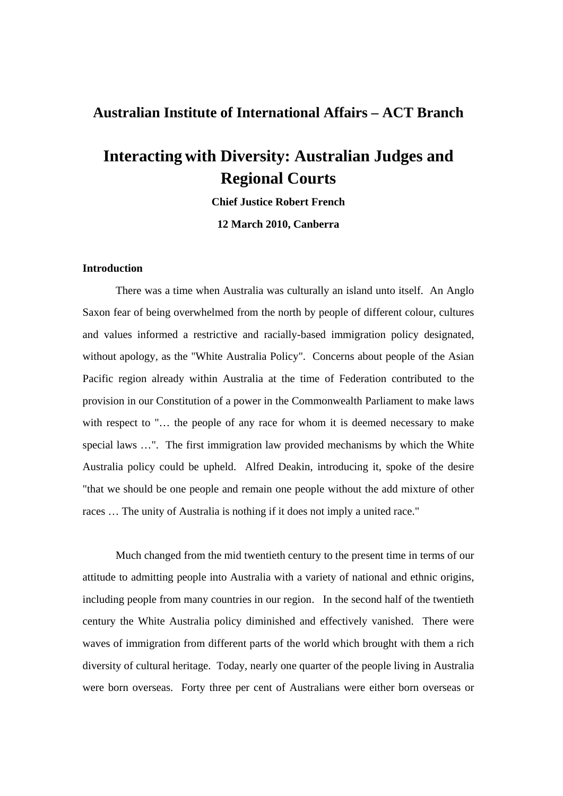## **Australian Institute of International Affairs – ACT Branch**

## **Interacting with Diversity: Australian Judges and Regional Courts**

**Chief Justice Robert French** 

**12 March 2010, Canberra** 

## **Introduction**

 There was a time when Australia was culturally an island unto itself. An Anglo Saxon fear of being overwhelmed from the north by people of different colour, cultures and values informed a restrictive and racially-based immigration policy designated, without apology, as the "White Australia Policy". Concerns about people of the Asian Pacific region already within Australia at the time of Federation contributed to the provision in our Constitution of a power in the Commonwealth Parliament to make laws with respect to "... the people of any race for whom it is deemed necessary to make special laws …". The first immigration law provided mechanisms by which the White Australia policy could be upheld. Alfred Deakin, introducing it, spoke of the desire "that we should be one people and remain one people without the add mixture of other races … The unity of Australia is nothing if it does not imply a united race."

 Much changed from the mid twentieth century to the present time in terms of our attitude to admitting people into Australia with a variety of national and ethnic origins, including people from many countries in our region. In the second half of the twentieth century the White Australia policy diminished and effectively vanished. There were waves of immigration from different parts of the world which brought with them a rich diversity of cultural heritage. Today, nearly one quarter of the people living in Australia were born overseas. Forty three per cent of Australians were either born overseas or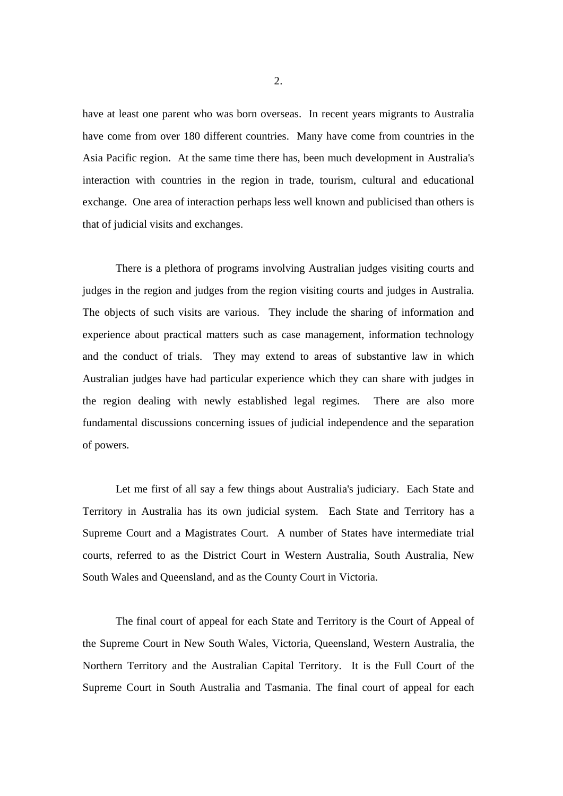have at least one parent who was born overseas. In recent years migrants to Australia have come from over 180 different countries. Many have come from countries in the Asia Pacific region. At the same time there has, been much development in Australia's interaction with countries in the region in trade, tourism, cultural and educational exchange. One area of interaction perhaps less well known and publicised than others is that of judicial visits and exchanges.

 There is a plethora of programs involving Australian judges visiting courts and judges in the region and judges from the region visiting courts and judges in Australia. The objects of such visits are various. They include the sharing of information and experience about practical matters such as case management, information technology and the conduct of trials. They may extend to areas of substantive law in which Australian judges have had particular experience which they can share with judges in the region dealing with newly established legal regimes. There are also more fundamental discussions concerning issues of judicial independence and the separation of powers.

 Let me first of all say a few things about Australia's judiciary. Each State and Territory in Australia has its own judicial system. Each State and Territory has a Supreme Court and a Magistrates Court. A number of States have intermediate trial courts, referred to as the District Court in Western Australia, South Australia, New South Wales and Queensland, and as the County Court in Victoria.

 The final court of appeal for each State and Territory is the Court of Appeal of the Supreme Court in New South Wales, Victoria, Queensland, Western Australia, the Northern Territory and the Australian Capital Territory. It is the Full Court of the Supreme Court in South Australia and Tasmania. The final court of appeal for each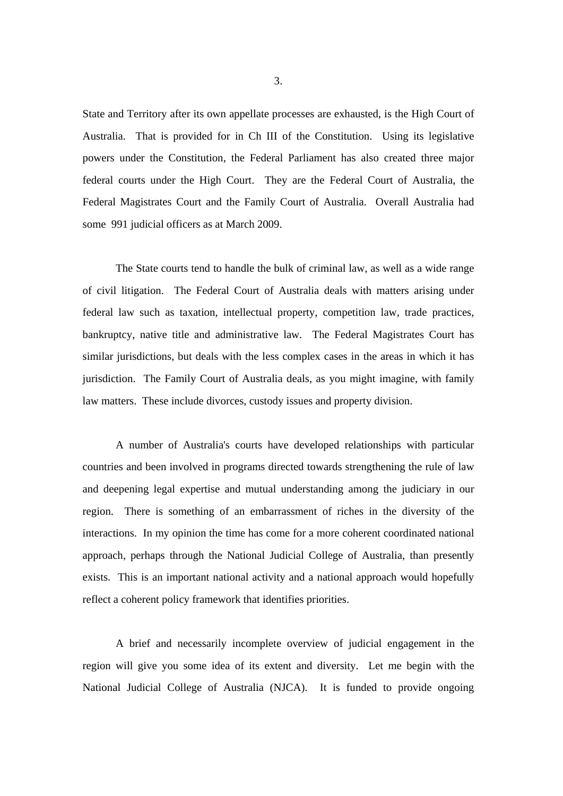State and Territory after its own appellate processes are exhausted, is the High Court of Australia. That is provided for in Ch III of the Constitution. Using its legislative powers under the Constitution, the Federal Parliament has also created three major federal courts under the High Court. They are the Federal Court of Australia, the Federal Magistrates Court and the Family Court of Australia. Overall Australia had some 991 judicial officers as at March 2009.

 The State courts tend to handle the bulk of criminal law, as well as a wide range of civil litigation. The Federal Court of Australia deals with matters arising under federal law such as taxation, intellectual property, competition law, trade practices, bankruptcy, native title and administrative law. The Federal Magistrates Court has similar jurisdictions, but deals with the less complex cases in the areas in which it has jurisdiction. The Family Court of Australia deals, as you might imagine, with family law matters. These include divorces, custody issues and property division.

 A number of Australia's courts have developed relationships with particular countries and been involved in programs directed towards strengthening the rule of law and deepening legal expertise and mutual understanding among the judiciary in our region. There is something of an embarrassment of riches in the diversity of the interactions. In my opinion the time has come for a more coherent coordinated national approach, perhaps through the National Judicial College of Australia, than presently exists. This is an important national activity and a national approach would hopefully reflect a coherent policy framework that identifies priorities.

 A brief and necessarily incomplete overview of judicial engagement in the region will give you some idea of its extent and diversity. Let me begin with the National Judicial College of Australia (NJCA). It is funded to provide ongoing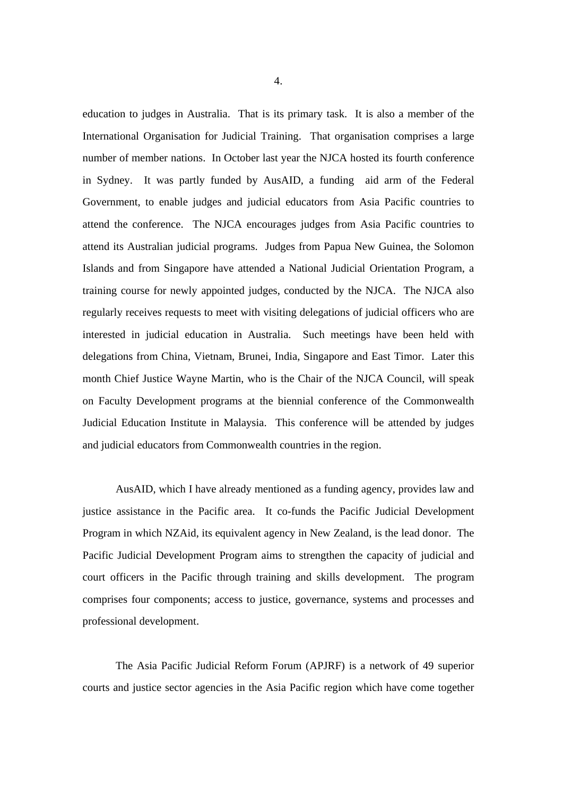education to judges in Australia. That is its primary task. It is also a member of the International Organisation for Judicial Training. That organisation comprises a large number of member nations. In October last year the NJCA hosted its fourth conference in Sydney. It was partly funded by AusAID, a funding aid arm of the Federal Government, to enable judges and judicial educators from Asia Pacific countries to attend the conference. The NJCA encourages judges from Asia Pacific countries to attend its Australian judicial programs. Judges from Papua New Guinea, the Solomon Islands and from Singapore have attended a National Judicial Orientation Program, a training course for newly appointed judges, conducted by the NJCA. The NJCA also regularly receives requests to meet with visiting delegations of judicial officers who are interested in judicial education in Australia. Such meetings have been held with delegations from China, Vietnam, Brunei, India, Singapore and East Timor. Later this month Chief Justice Wayne Martin, who is the Chair of the NJCA Council, will speak on Faculty Development programs at the biennial conference of the Commonwealth Judicial Education Institute in Malaysia. This conference will be attended by judges and judicial educators from Commonwealth countries in the region.

 AusAID, which I have already mentioned as a funding agency, provides law and justice assistance in the Pacific area. It co-funds the Pacific Judicial Development Program in which NZAid, its equivalent agency in New Zealand, is the lead donor. The Pacific Judicial Development Program aims to strengthen the capacity of judicial and court officers in the Pacific through training and skills development. The program comprises four components; access to justice, governance, systems and processes and professional development.

 The Asia Pacific Judicial Reform Forum (APJRF) is a network of 49 superior courts and justice sector agencies in the Asia Pacific region which have come together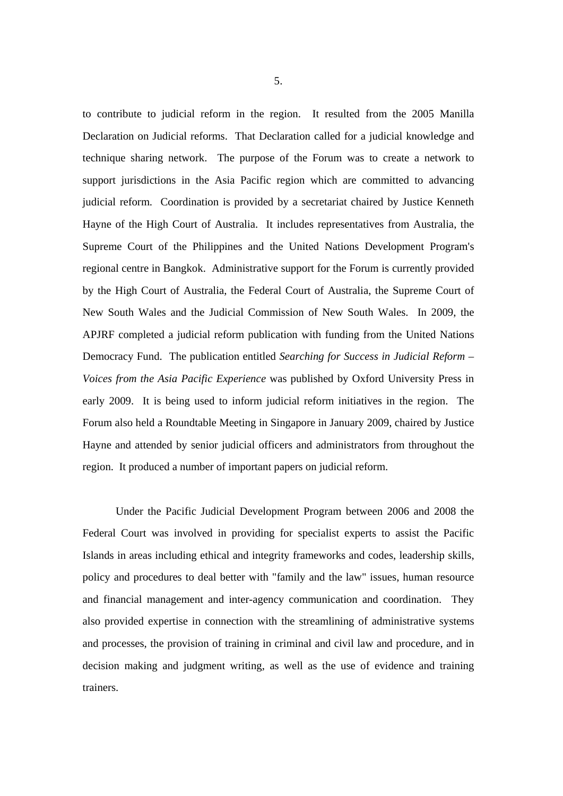to contribute to judicial reform in the region. It resulted from the 2005 Manilla Declaration on Judicial reforms. That Declaration called for a judicial knowledge and technique sharing network. The purpose of the Forum was to create a network to support jurisdictions in the Asia Pacific region which are committed to advancing judicial reform. Coordination is provided by a secretariat chaired by Justice Kenneth Hayne of the High Court of Australia. It includes representatives from Australia, the Supreme Court of the Philippines and the United Nations Development Program's regional centre in Bangkok. Administrative support for the Forum is currently provided by the High Court of Australia, the Federal Court of Australia, the Supreme Court of New South Wales and the Judicial Commission of New South Wales. In 2009, the APJRF completed a judicial reform publication with funding from the United Nations Democracy Fund. The publication entitled *Searching for Success in Judicial Reform – Voices from the Asia Pacific Experience* was published by Oxford University Press in early 2009. It is being used to inform judicial reform initiatives in the region. The Forum also held a Roundtable Meeting in Singapore in January 2009, chaired by Justice Hayne and attended by senior judicial officers and administrators from throughout the region. It produced a number of important papers on judicial reform.

 Under the Pacific Judicial Development Program between 2006 and 2008 the Federal Court was involved in providing for specialist experts to assist the Pacific Islands in areas including ethical and integrity frameworks and codes, leadership skills, policy and procedures to deal better with "family and the law" issues, human resource and financial management and inter-agency communication and coordination. They also provided expertise in connection with the streamlining of administrative systems and processes, the provision of training in criminal and civil law and procedure, and in decision making and judgment writing, as well as the use of evidence and training trainers.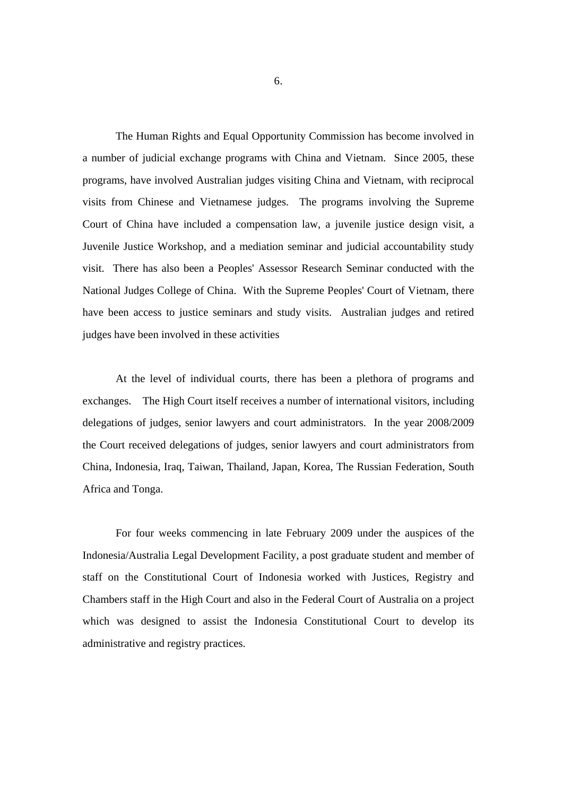The Human Rights and Equal Opportunity Commission has become involved in a number of judicial exchange programs with China and Vietnam. Since 2005, these programs, have involved Australian judges visiting China and Vietnam, with reciprocal visits from Chinese and Vietnamese judges. The programs involving the Supreme Court of China have included a compensation law, a juvenile justice design visit, a Juvenile Justice Workshop, and a mediation seminar and judicial accountability study visit. There has also been a Peoples' Assessor Research Seminar conducted with the National Judges College of China. With the Supreme Peoples' Court of Vietnam, there have been access to justice seminars and study visits. Australian judges and retired judges have been involved in these activities

 At the level of individual courts, there has been a plethora of programs and exchanges. The High Court itself receives a number of international visitors, including delegations of judges, senior lawyers and court administrators. In the year 2008/2009 the Court received delegations of judges, senior lawyers and court administrators from China, Indonesia, Iraq, Taiwan, Thailand, Japan, Korea, The Russian Federation, South Africa and Tonga.

 For four weeks commencing in late February 2009 under the auspices of the Indonesia/Australia Legal Development Facility, a post graduate student and member of staff on the Constitutional Court of Indonesia worked with Justices, Registry and Chambers staff in the High Court and also in the Federal Court of Australia on a project which was designed to assist the Indonesia Constitutional Court to develop its administrative and registry practices.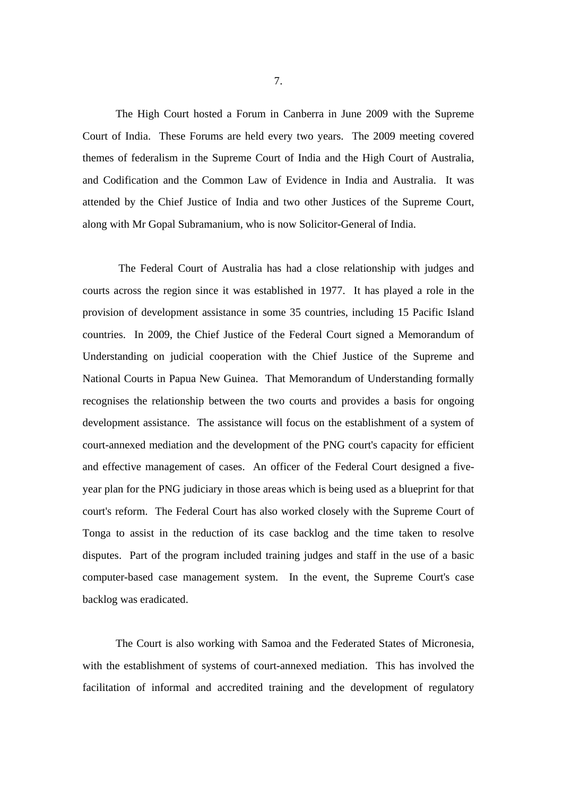The High Court hosted a Forum in Canberra in June 2009 with the Supreme Court of India. These Forums are held every two years. The 2009 meeting covered themes of federalism in the Supreme Court of India and the High Court of Australia, and Codification and the Common Law of Evidence in India and Australia. It was attended by the Chief Justice of India and two other Justices of the Supreme Court, along with Mr Gopal Subramanium, who is now Solicitor-General of India.

 The Federal Court of Australia has had a close relationship with judges and courts across the region since it was established in 1977. It has played a role in the provision of development assistance in some 35 countries, including 15 Pacific Island countries. In 2009, the Chief Justice of the Federal Court signed a Memorandum of Understanding on judicial cooperation with the Chief Justice of the Supreme and National Courts in Papua New Guinea. That Memorandum of Understanding formally recognises the relationship between the two courts and provides a basis for ongoing development assistance. The assistance will focus on the establishment of a system of court-annexed mediation and the development of the PNG court's capacity for efficient and effective management of cases. An officer of the Federal Court designed a fiveyear plan for the PNG judiciary in those areas which is being used as a blueprint for that court's reform. The Federal Court has also worked closely with the Supreme Court of Tonga to assist in the reduction of its case backlog and the time taken to resolve disputes. Part of the program included training judges and staff in the use of a basic computer-based case management system. In the event, the Supreme Court's case backlog was eradicated.

 The Court is also working with Samoa and the Federated States of Micronesia, with the establishment of systems of court-annexed mediation. This has involved the facilitation of informal and accredited training and the development of regulatory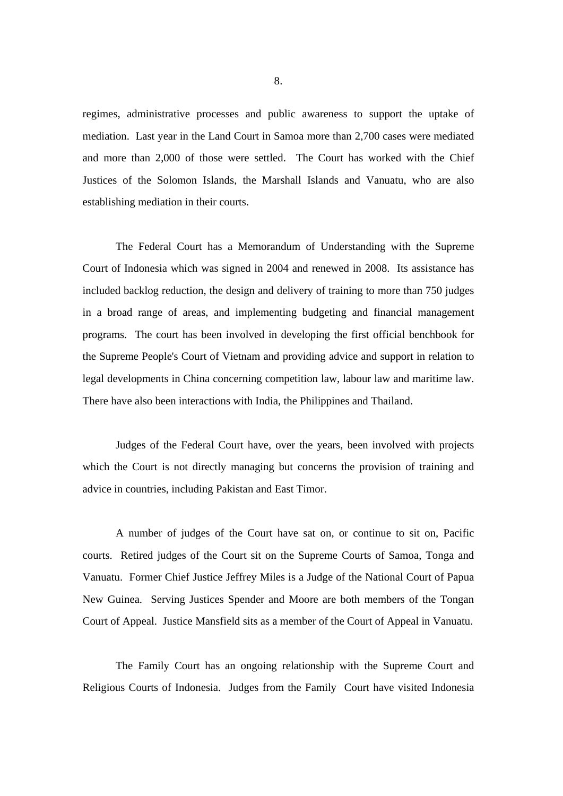regimes, administrative processes and public awareness to support the uptake of mediation. Last year in the Land Court in Samoa more than 2,700 cases were mediated and more than 2,000 of those were settled. The Court has worked with the Chief Justices of the Solomon Islands, the Marshall Islands and Vanuatu, who are also establishing mediation in their courts.

 The Federal Court has a Memorandum of Understanding with the Supreme Court of Indonesia which was signed in 2004 and renewed in 2008. Its assistance has included backlog reduction, the design and delivery of training to more than 750 judges in a broad range of areas, and implementing budgeting and financial management programs. The court has been involved in developing the first official benchbook for the Supreme People's Court of Vietnam and providing advice and support in relation to legal developments in China concerning competition law, labour law and maritime law. There have also been interactions with India, the Philippines and Thailand.

 Judges of the Federal Court have, over the years, been involved with projects which the Court is not directly managing but concerns the provision of training and advice in countries, including Pakistan and East Timor.

 A number of judges of the Court have sat on, or continue to sit on, Pacific courts. Retired judges of the Court sit on the Supreme Courts of Samoa, Tonga and Vanuatu. Former Chief Justice Jeffrey Miles is a Judge of the National Court of Papua New Guinea. Serving Justices Spender and Moore are both members of the Tongan Court of Appeal. Justice Mansfield sits as a member of the Court of Appeal in Vanuatu.

 The Family Court has an ongoing relationship with the Supreme Court and Religious Courts of Indonesia. Judges from the Family Court have visited Indonesia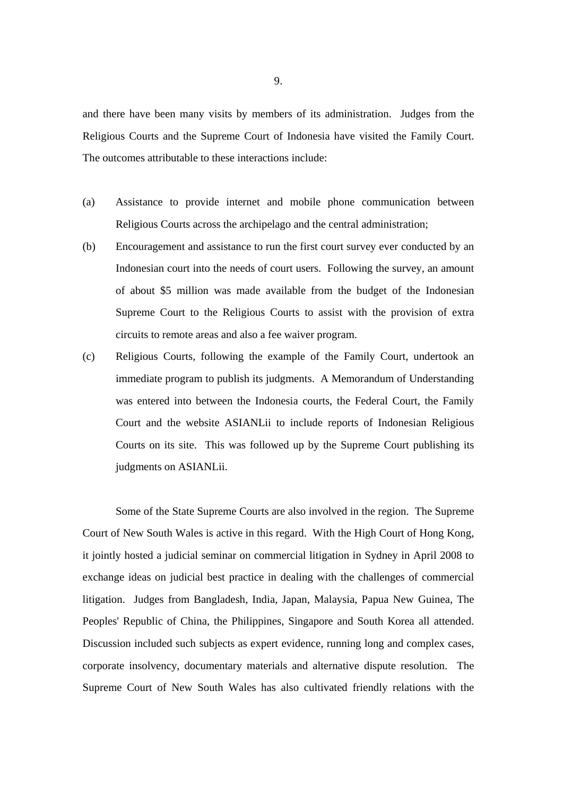and there have been many visits by members of its administration. Judges from the Religious Courts and the Supreme Court of Indonesia have visited the Family Court. The outcomes attributable to these interactions include:

- (a) Assistance to provide internet and mobile phone communication between Religious Courts across the archipelago and the central administration;
- (b) Encouragement and assistance to run the first court survey ever conducted by an Indonesian court into the needs of court users. Following the survey, an amount of about \$5 million was made available from the budget of the Indonesian Supreme Court to the Religious Courts to assist with the provision of extra circuits to remote areas and also a fee waiver program.
- (c) Religious Courts, following the example of the Family Court, undertook an immediate program to publish its judgments. A Memorandum of Understanding was entered into between the Indonesia courts, the Federal Court, the Family Court and the website ASIANLii to include reports of Indonesian Religious Courts on its site. This was followed up by the Supreme Court publishing its judgments on ASIANLii.

 Some of the State Supreme Courts are also involved in the region. The Supreme Court of New South Wales is active in this regard. With the High Court of Hong Kong, it jointly hosted a judicial seminar on commercial litigation in Sydney in April 2008 to exchange ideas on judicial best practice in dealing with the challenges of commercial litigation. Judges from Bangladesh, India, Japan, Malaysia, Papua New Guinea, The Peoples' Republic of China, the Philippines, Singapore and South Korea all attended. Discussion included such subjects as expert evidence, running long and complex cases, corporate insolvency, documentary materials and alternative dispute resolution. The Supreme Court of New South Wales has also cultivated friendly relations with the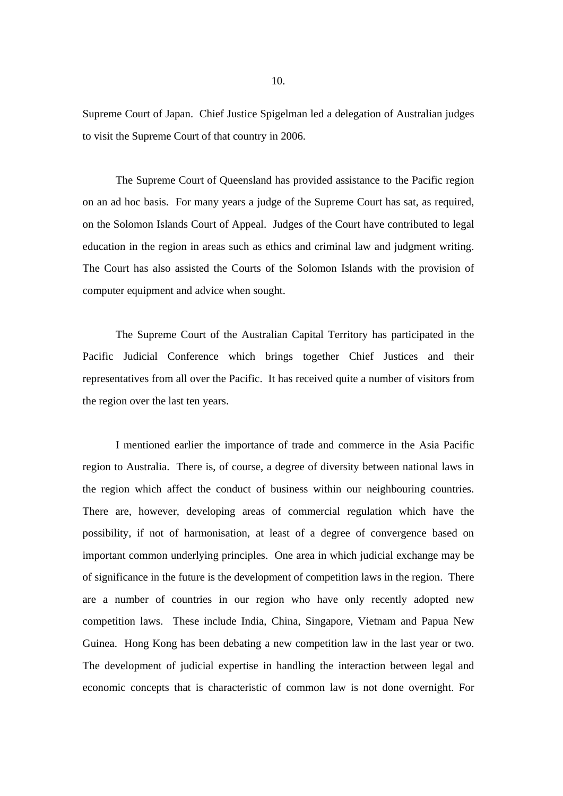Supreme Court of Japan. Chief Justice Spigelman led a delegation of Australian judges to visit the Supreme Court of that country in 2006.

 The Supreme Court of Queensland has provided assistance to the Pacific region on an ad hoc basis. For many years a judge of the Supreme Court has sat, as required, on the Solomon Islands Court of Appeal. Judges of the Court have contributed to legal education in the region in areas such as ethics and criminal law and judgment writing. The Court has also assisted the Courts of the Solomon Islands with the provision of computer equipment and advice when sought.

 The Supreme Court of the Australian Capital Territory has participated in the Pacific Judicial Conference which brings together Chief Justices and their representatives from all over the Pacific. It has received quite a number of visitors from the region over the last ten years.

 I mentioned earlier the importance of trade and commerce in the Asia Pacific region to Australia. There is, of course, a degree of diversity between national laws in the region which affect the conduct of business within our neighbouring countries. There are, however, developing areas of commercial regulation which have the possibility, if not of harmonisation, at least of a degree of convergence based on important common underlying principles. One area in which judicial exchange may be of significance in the future is the development of competition laws in the region. There are a number of countries in our region who have only recently adopted new competition laws. These include India, China, Singapore, Vietnam and Papua New Guinea. Hong Kong has been debating a new competition law in the last year or two. The development of judicial expertise in handling the interaction between legal and economic concepts that is characteristic of common law is not done overnight. For